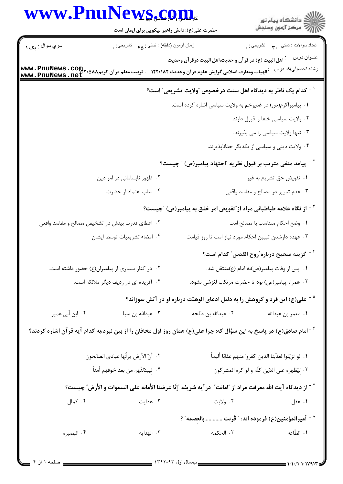|                 | <b>WWW.PnuNews.com.</b><br>حضرت علی(ع): دانش راهبر نیکویی برای ایمان است |                                                                                                                                                                                                | د<br>ڪ دانشڪاه پيام نور<br>√ مرڪز آزمون وسنڊش                   |
|-----------------|--------------------------------------------------------------------------|------------------------------------------------------------------------------------------------------------------------------------------------------------------------------------------------|-----------------------------------------------------------------|
| سري سوال : يک ۱ | زمان أزمون (دقيقه) : تستى : ۴۵ — تشريحي : .                              |                                                                                                                                                                                                | نعداد سوالات : تستبي : پم       تشريحي : .                      |
|                 |                                                                          | <sup>:</sup> اهل البيت (ع) در قرآن و حديث،اهل البيت درقرآن وحديث<br>  الهيات ومعارف اسلامي گرايش علوم قرآن وحديث ١٢٢٠١٨٢ - ، تربيت معلم قرآن كريم www . PnuNews . com<br>  www . PnuNews . net | عنوان درس<br>رشته تحصيلي/كد درس                                 |
|                 |                                                                          | <sup>۱ -</sup> کدام یک ناظر به دیدگاه اهل سنت درخصوص آولایت تشریعی ً است؟                                                                                                                      |                                                                 |
|                 |                                                                          | ٠١. پيامبراكرم(ص) در غديرخم به ولايت سياسي اشاره كرده است.                                                                                                                                     |                                                                 |
|                 |                                                                          |                                                                                                                                                                                                | ٠٢ ولايت سياسي خلفا را قبول دارند.                              |
|                 |                                                                          |                                                                                                                                                                                                | ۰۳ تنها ولايت سياسي را مي پذيرند.                               |
|                 |                                                                          |                                                                                                                                                                                                | ۰۴ ولایت دینی و سیاسی از یکدیگر جداناپذیرند.                    |
|                 |                                                                          | <sup>۲</sup> <sup>-</sup> پیامد منفی مترتب بر قبول نظریه آاجتهاد پیامبر(ص) آچیست؟                                                                                                              |                                                                 |
|                 | ۰۲ ظهور نابسامانی در امر دین                                             |                                                                                                                                                                                                | ۰۱ تفويض حق تشريع به غير                                        |
|                 | ۰۴ سلب اعتماد از حضرت                                                    |                                                                                                                                                                                                | ۰۳ عدم تمییز در مصالح و مفاسد واقعی                             |
|                 |                                                                          | <sup>۳ -</sup> از نگاه علامه طباطبائی مراد از <i>"</i> تفویض امر خلق به پیامبر(ص) ″چیست؟                                                                                                       |                                                                 |
|                 | ۰۲ اعطای قدرت بینش در تشخیص مصالح و مفاسد واقعی                          |                                                                                                                                                                                                | ٠١. وضع احكام متناسب با مصالح امت                               |
|                 | ۰۴ امضاء تشريعيات توسط ايشان                                             | ۰۳ عهده دارشدن تبيين احكام مورد نياز امت تا روز قيامت                                                                                                                                          |                                                                 |
|                 |                                                                          |                                                                                                                                                                                                | <sup>۴ -</sup> گزینه صحیح درباره ّروح القدس ّ کدام است؟         |
|                 | ۰۲ در کنار بسیاری از پیامبران(ع) حضور داشته است.                         |                                                                                                                                                                                                | ۰۱ پس از وفات پیامبر(ص)به امام (ع)منتقل شد.                     |
|                 | ۰۴ آفریده ای در ردیف دیگر ملائکه است.                                    |                                                                                                                                                                                                | ۰۳ همراه پیامبر(ص) بود تا حضرت مرتکب لغزشی نشود.                |
|                 |                                                                          | <sup>۵ -</sup> علی(ع) این فرد و گروهش را به دلیل ادعای الوهیّت درباره او در آتش سوزاند؟                                                                                                        |                                                                 |
| ۰۴ ابن أبي عمير | ۰۳ عبدالله بن سبا                                                        | ٢. عبدالله بن طلحه                                                                                                                                                                             | ٠١ معمر بن عبدالله                                              |
|                 |                                                                          | <sup>۶</sup> <sup>-</sup> امام صادق(ع) در پاسخ به این سؤال که: چرا علی(ع) همان روز اول مخافان را از بین نبرد،به کدام آیه قرآن اشاره کردند؟                                                     |                                                                 |
|                 | ٢. أنّ الأرض يرثُها عبادي الصالحون                                       |                                                                                                                                                                                                | ٠١. لو تزيّلوا لعذّبنا الذين كفروا منهم عذابًا أليماً           |
|                 | ۴. لِيبدّلنّهم من بعد خوفهم أمناً                                        |                                                                                                                                                                                                | ۰۳ لیُظهره علی الدّین کلّه و لو کره المشرکون                    |
|                 |                                                                          | ّ أز ديدگاه آيت الله معرفت مراد از "امانت" درآيه شريفه "إنّا عرضنا الأمانه على السموات و الأرض" چيست؟ الله                                                                                     |                                                                 |
| ۰۴ کمال         | ۰۳ هدایت                                                                 | ۰۲ ولايت                                                                                                                                                                                       | ۰۱ عقل                                                          |
|                 |                                                                          |                                                                                                                                                                                                | <sup>^ -</sup> أميرالمؤمنين(ع) فرموده اند: " قُرِنت بالعِصمه" ؟ |
| ۰۴ البصيره      | ۰۳ الهدايه                                                               | ٢. الحكمه                                                                                                                                                                                      | ١. الطّاعه                                                      |
|                 |                                                                          |                                                                                                                                                                                                |                                                                 |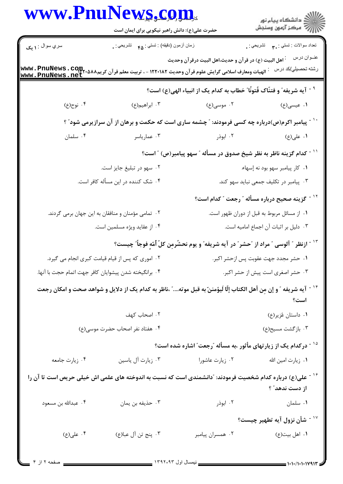|                                                       | حضرت علی(ع): دانش راهبر نیکویی برای ایمان است                                                                                 | www.PnuNews.com                                                                           |                                              |  |
|-------------------------------------------------------|-------------------------------------------------------------------------------------------------------------------------------|-------------------------------------------------------------------------------------------|----------------------------------------------|--|
| سري سوال : <b>۱ يک</b>                                | زمان أزمون (دقيقه) : تستي : <sub>۴۵</sub> تشريحي : .                                                                          |                                                                                           | تعداد سوالات : تستبي : ٩. سمب     تشريحي : . |  |
|                                                       | WWW . PnuNews . COM .<br>WWW . PnuNews . net الهيات ومعارف اسلامي گرايش علوم قر آن وحديث ١٢٢٠١٨٢ - ، تربيت معلم قر آن كريم    | <sup>:</sup> اهل البيت (ع) در قر آن و حديث،اهل البيت درقر آن وحديث                        | عنــوان درس<br>رشته تحصيلي/كد درس            |  |
|                                                       |                                                                                                                               | <sup>۹ -</sup> آيه شريفه ّ و فتنّاک فُتونًا ّ خطاب به کدام يک از انبياء الهي(ع) است؟      |                                              |  |
| ۰۴ نوح(ع)                                             | ۰۳ ابراهیم(ع)                                                                                                                 | ۰۲ موسی(ع)                                                                                | ۱. عیسی(ع)                                   |  |
|                                                       | <sup>۱۰ -</sup> پیامبر اکرم(ص)درباره چه کسی فرمودند: ″ چشمه ساری است که حکمت و برهان از آن سرازیرمی شود″ ؟                    |                                                                                           |                                              |  |
| ۰۴ سلمان                                              | ۰۳ عماریاسر                                                                                                                   | ۰۲ ابوذر                                                                                  | ۱. علی(ع)                                    |  |
|                                                       |                                                                                                                               | `` - كدام گزينه ناظر به نظر شيخ صدوق در مسأله ″ سهو پيامبر(ص) ″ است؟                      |                                              |  |
| ۰۲ سهو در تبلیغ جایز است.                             |                                                                                                                               | ٠١ كار پيامبر سهو بود نه إسهاء.                                                           |                                              |  |
| ۰۴ شک کننده در این مسأله کافر است.                    |                                                                                                                               | ۰۳ پیامبر در تکلیف جمعی نباید سهو کند.                                                    |                                              |  |
|                                                       |                                                                                                                               | <sup>۱۲ -</sup> گزینه صحیح درباره مسأله <sub>" ر</sub> جعت " کدام است؟                    |                                              |  |
| ۰۲ تمامی مؤمنان و منافقان به این جهان برمی گردند.     |                                                                                                                               | ٠١ از مسائل مربوط به قبل از دوران ظهور است.                                               |                                              |  |
|                                                       | ۰۴ از عقاید ویژه مسلمین است.                                                                                                  | ۰۳ دلیل بر اثبات آن اجماع امامیه است.                                                     |                                              |  |
|                                                       |                                                                                                                               | ``` - ازنظر ″ آلوسی ″ مراد از ″حشر″ در آیه شریفه″ و یوم نحشُرمِن کلّ أُمّهٍ فوجاً″ چیست؟  |                                              |  |
|                                                       | ۰۲ اموری که پس از قیام قیامت کبری انجام می گیرد.<br>٠١ حشر مجدد جهت عقوبت پس ازحشر اكبر.                                      |                                                                                           |                                              |  |
| ۰۴ برانگیخته شدن پیشوایان کافر جهت اتمام حجت با آنها. |                                                                                                                               | ۰۳ حشر اصغری است پیش از حشر اکبر.                                                         |                                              |  |
|                                                       | <sup>۱۴ -</sup> آیه شریفه ″ و إن مِن أهل الکتاب إلّا لَیؤمننّ به قبل موته″ ،ناظر به کدام یک از دلایل و شواهد صحت و امکان رجعت |                                                                                           | است؟                                         |  |
|                                                       | ٠٢ اصحاب كهف                                                                                                                  | ۰۱ داستان عُزیر(ع)                                                                        |                                              |  |
| ۰۴ هفتاد نفر اصحاب حضرت موسى(ع)                       |                                                                                                                               | ۰۳ بازگشت مسيح(ع)                                                                         |                                              |  |
|                                                       |                                                                                                                               | <sup>۱۵ -</sup> درکدام یک از زیارتهای مأثور ،به مسأله <sub>،ّ</sub> رجعت ؒ اشاره شده است؟ |                                              |  |
| ۰۴ زیارت جامعه                                        | ۰۳ زیارت آل یاسین                                                                                                             | ۰۲ زیارت عاشورا                                                                           | ٠١. زيارت امين الله                          |  |
|                                                       | گا - علی(ع) درباره کدام شخصیت فرمودند: آدانشمندی است که نسبت به اندوخته های علمی اش خیلی حریص است تا آن را                    |                                                                                           | از دست ندهد" ؟                               |  |
| ۰۴ عبدالله بن مسعود                                   | ۰۳ حذيفه بن يمان                                                                                                              | ۰۲ ابوذر                                                                                  | ۰۱ سلمان                                     |  |
|                                                       |                                                                                                                               |                                                                                           | <sup>۱۷ -</sup> شأن نزول آيه تطهير چيست؟     |  |
| ۰۴ علی(ع)                                             | ۴. پنج تن آل عبا(ع)                                                                                                           | ۰۲ همسران پیامبر                                                                          | ۰۱ اهل بيت(ع)                                |  |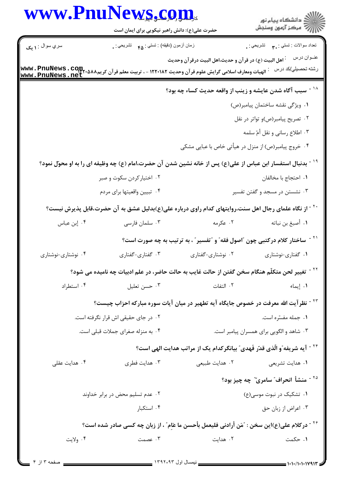|                                                                                                                                                 | <b>www.PnuNews.com.</b><br>حضرت علی(ع): دانش راهبر نیکویی برای ایمان است                                                |                                                                                          | ڪ دانشڪاه پيام نور<br>ر∕ = مرڪز آزمون وسنڊش                 |  |  |
|-------------------------------------------------------------------------------------------------------------------------------------------------|-------------------------------------------------------------------------------------------------------------------------|------------------------------------------------------------------------------------------|-------------------------------------------------------------|--|--|
| سري سوال : ۱ يک                                                                                                                                 | زمان أزمون (دقيقه) : تستي : هم       تشريحي : .                                                                         |                                                                                          | تعداد سوالات : تستي : پم       تشريحي : <sub>.</sub>        |  |  |
| الهيات ومعارف اسلامي گرايش علوم قرآن وحديث ١٢٢٠١٨٢ - ، تربيت معلم قرآن كريم٨٨٨*٢٦٦ - www . PnuNews<br>----- جمعية مسمحة مصبح<br>www.PnuNews.net |                                                                                                                         | <sup>:</sup> اهل البيت (ع) در قرآن و حديث،اهل البيت درقرآن وحديث                         | عنــوان درس<br>رشته تحصيلي/كد درس                           |  |  |
|                                                                                                                                                 |                                                                                                                         | <sup>۱۸ -</sup> سبب آگاه شدن عایشه و زینب از واقعه حدیث کساء چه بود؟                     |                                                             |  |  |
|                                                                                                                                                 |                                                                                                                         |                                                                                          | ١. ويژگى نقشه ساختمان پيامبر(ص)                             |  |  |
|                                                                                                                                                 | ۰۲ تصریح پیامبر(ص)و تواتر در نقل                                                                                        |                                                                                          |                                                             |  |  |
|                                                                                                                                                 |                                                                                                                         |                                                                                          | ۰۳ اطلاع رساني و نقل أمّ سلمه                               |  |  |
|                                                                                                                                                 |                                                                                                                         | ۰۴ خروج پیامبر(ص) از منزل در هیأتی خاص با عبایی مشکی                                     |                                                             |  |  |
|                                                                                                                                                 | <sup>۱۹ -</sup> بدنبال استفسار ابن عباس از علی(ع) پس از خانه نشین شدن آن حضرت،امام (ع) چه وظیفه ای را به او محوّل نمود؟ |                                                                                          |                                                             |  |  |
|                                                                                                                                                 | ۰۲ اختیار کردن سکوت و صبر                                                                                               |                                                                                          | ٠١. احتجاج با مخالفان                                       |  |  |
|                                                                                                                                                 | ۰۴ تبيين واقعيتها براي مردم                                                                                             |                                                                                          | ۰۳ نشستن در مسجد و گفتن تفسیر                               |  |  |
|                                                                                                                                                 | ` <sup>۲</sup> - از نگاه علمای رجال اهل سنت،روایتهای کدام راوی درباره علی(ع)بدلیل عشق به آن حضرت،قابل پذیرش نیست؟       |                                                                                          |                                                             |  |  |
| ۰۴ إبن عباس                                                                                                                                     | ۰۳ سلمان فارسی                                                                                                          | ۰۲ عکرمه                                                                                 | ٠١ أصبغ بن نباته                                            |  |  |
|                                                                                                                                                 |                                                                                                                         | <sup>۲۱ -</sup> ساختار کلام درکتبی چون آاصول فقه ّ و آتفسیر ّ ، به ترتیب به چه صورت است؟ |                                                             |  |  |
| ۰۴ نوشتاری-نوشتاری                                                                                                                              | ۰۳ گفتاری-گفتاری                                                                                                        | ۰۲ نوشتاری-گفتاری                                                                        | ۰۱ گفتاری-نوشتاری                                           |  |  |
|                                                                                                                                                 | <sup>۲۲ -</sup> تغییر لحن متکلّم هنگام سخن گفتن از حالت غایب به حالت حاضر، در علم ادبیات چه نامیده می شود؟              |                                                                                          |                                                             |  |  |
| ۰۴ استطراد                                                                                                                                      | ۰۳ حسن تعليل                                                                                                            | ٢. التفات                                                                                | ٠١. إيماء                                                   |  |  |
|                                                                                                                                                 | <sup>۲۳ -</sup> نظر آیت الله معرفت در خصوص جایگاه آیه تطهیر در میان آیات سوره مبارکه احزاب چیست؟                        |                                                                                          |                                                             |  |  |
|                                                                                                                                                 | ۰۲ در جای حقیقی اش قرار نگرفته است.                                                                                     |                                                                                          | ٠١ جمله مفسّره است.                                         |  |  |
|                                                                                                                                                 | ۰۴ به منزله صغرای جملات قبلی است.                                                                                       |                                                                                          | ۰۳ شاهد و الگویی برای همسران پیامبر است.                    |  |  |
|                                                                                                                                                 |                                                                                                                         | <sup>۲۴ -</sup> آیه شریفه ّو الّذی قدّر فَهدی ّ بیانگرکدام یک از مراتب هدایت الهی است؟   |                                                             |  |  |
| ۰۴ هدایت عقلی                                                                                                                                   | ۰۳ هدایت فطری                                                                                                           | ۰۲ هدایت طبیعی                                                                           | ٠١ هدايت تشريعي                                             |  |  |
|                                                                                                                                                 |                                                                                                                         |                                                                                          | <sup>۲۵ -</sup> منشأ انحراف" سامری <sup>"</sup> چه چیز بود؟ |  |  |
|                                                                                                                                                 | ۰۲ عدم تسلیم محض در برابر خداوند                                                                                        |                                                                                          | ۰۱ تشکیک در نبوت موسی(ع)                                    |  |  |
|                                                                                                                                                 | ۰۴ استکبار                                                                                                              |                                                                                          | ۰۳ اعراض از زبان حق                                         |  |  |
|                                                                                                                                                 | <sup>۲۶ -</sup> در کلام علی(ع)این سخن :    ؒ مَن أرادنی فلیعمل بأحسن ما عَاِم ؒ ، از زبان چه کسی صادر شده است؟          |                                                                                          |                                                             |  |  |
| ۰۴ ولايت                                                                                                                                        | ۰۳ عصمت                                                                                                                 | ۰۲ هدایت                                                                                 | ۰۱ حکمت                                                     |  |  |
|                                                                                                                                                 |                                                                                                                         |                                                                                          |                                                             |  |  |